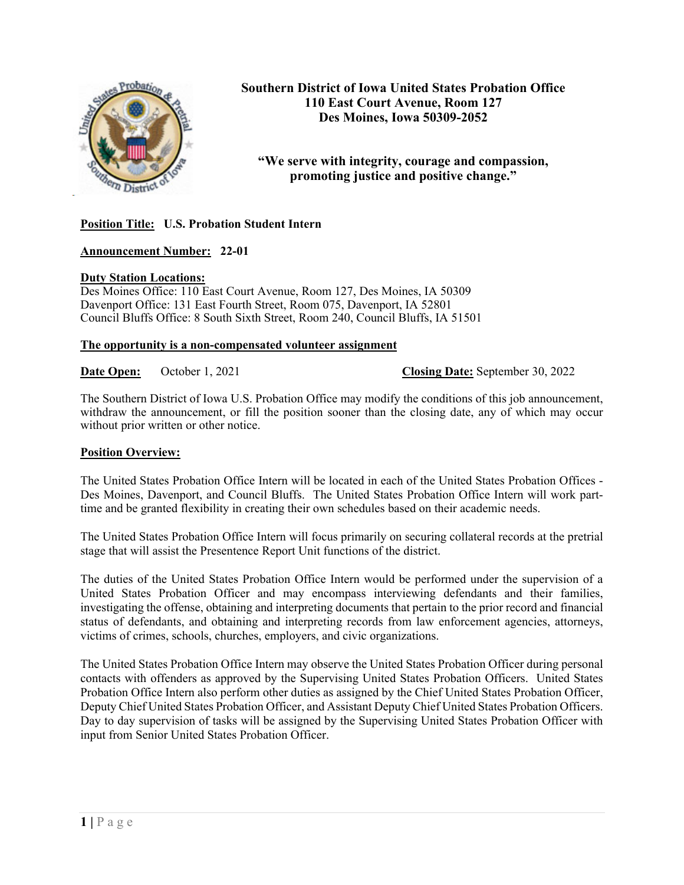

**Southern District of Iowa United States Probation Office 110 East Court Avenue, Room 127 Des Moines, Iowa 50309-2052**

# **"We serve with integrity, courage and compassion, promoting justice and positive change."**

# **Position Title: U.S. Probation Student Intern**

## **Announcement Number: 22-01**

#### **Duty Station Locations:**

Des Moines Office: 110 East Court Avenue, Room 127, Des Moines, IA 50309 Davenport Office: 131 East Fourth Street, Room 075, Davenport, IA 52801 Council Bluffs Office: 8 South Sixth Street, Room 240, Council Bluffs, IA 51501

#### **The opportunity is a non-compensated volunteer assignment**

**Date Open:** October 1, 2021 **Closing Date:** September 30, 2022

The Southern District of Iowa U.S. Probation Office may modify the conditions of this job announcement, withdraw the announcement, or fill the position sooner than the closing date, any of which may occur without prior written or other notice.

#### **Position Overview:**

The United States Probation Office Intern will be located in each of the United States Probation Offices - Des Moines, Davenport, and Council Bluffs. The United States Probation Office Intern will work parttime and be granted flexibility in creating their own schedules based on their academic needs.

The United States Probation Office Intern will focus primarily on securing collateral records at the pretrial stage that will assist the Presentence Report Unit functions of the district.

The duties of the United States Probation Office Intern would be performed under the supervision of a United States Probation Officer and may encompass interviewing defendants and their families, investigating the offense, obtaining and interpreting documents that pertain to the prior record and financial status of defendants, and obtaining and interpreting records from law enforcement agencies, attorneys, victims of crimes, schools, churches, employers, and civic organizations.

The United States Probation Office Intern may observe the United States Probation Officer during personal contacts with offenders as approved by the Supervising United States Probation Officers. United States Probation Office Intern also perform other duties as assigned by the Chief United States Probation Officer, Deputy Chief United States Probation Officer, and Assistant Deputy Chief United States Probation Officers. Day to day supervision of tasks will be assigned by the Supervising United States Probation Officer with input from Senior United States Probation Officer.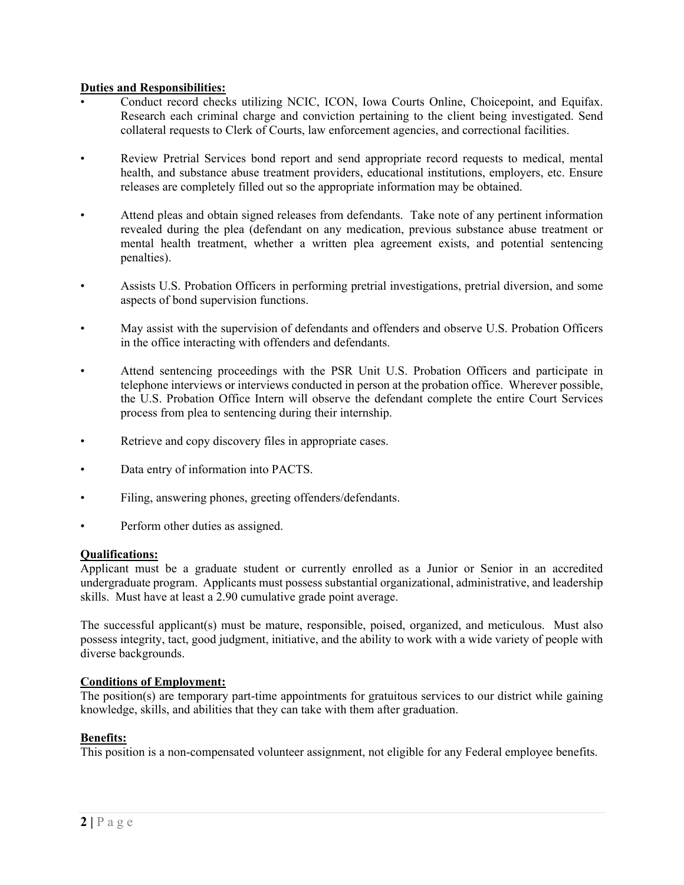## **Duties and Responsibilities:**

- Conduct record checks utilizing NCIC, ICON, Iowa Courts Online, Choicepoint, and Equifax. Research each criminal charge and conviction pertaining to the client being investigated. Send collateral requests to Clerk of Courts, law enforcement agencies, and correctional facilities.
- Review Pretrial Services bond report and send appropriate record requests to medical, mental health, and substance abuse treatment providers, educational institutions, employers, etc. Ensure releases are completely filled out so the appropriate information may be obtained.
- Attend pleas and obtain signed releases from defendants. Take note of any pertinent information revealed during the plea (defendant on any medication, previous substance abuse treatment or mental health treatment, whether a written plea agreement exists, and potential sentencing penalties).
- Assists U.S. Probation Officers in performing pretrial investigations, pretrial diversion, and some aspects of bond supervision functions.
- May assist with the supervision of defendants and offenders and observe U.S. Probation Officers in the office interacting with offenders and defendants.
- Attend sentencing proceedings with the PSR Unit U.S. Probation Officers and participate in telephone interviews or interviews conducted in person at the probation office. Wherever possible, the U.S. Probation Office Intern will observe the defendant complete the entire Court Services process from plea to sentencing during their internship.
- Retrieve and copy discovery files in appropriate cases.
- Data entry of information into PACTS.
- Filing, answering phones, greeting offenders/defendants.
- Perform other duties as assigned.

#### **Qualifications:**

Applicant must be a graduate student or currently enrolled as a Junior or Senior in an accredited undergraduate program. Applicants must possess substantial organizational, administrative, and leadership skills. Must have at least a 2.90 cumulative grade point average.

The successful applicant(s) must be mature, responsible, poised, organized, and meticulous. Must also possess integrity, tact, good judgment, initiative, and the ability to work with a wide variety of people with diverse backgrounds.

#### **Conditions of Employment:**

The position(s) are temporary part-time appointments for gratuitous services to our district while gaining knowledge, skills, and abilities that they can take with them after graduation.

#### **Benefits:**

This position is a non-compensated volunteer assignment, not eligible for any Federal employee benefits.